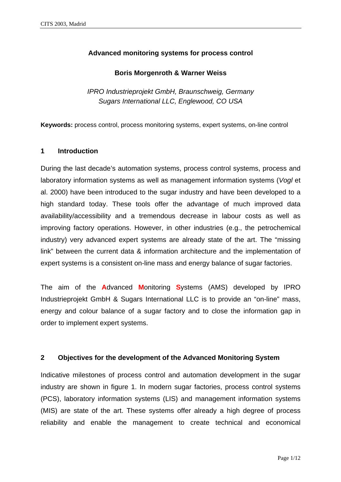# **Advanced monitoring systems for process control**

## **Boris Morgenroth & Warner Weiss**

*IPRO Industrieprojekt GmbH, Braunschweig, Germany Sugars International LLC, Englewood, CO USA* 

**Keywords:** process control, process monitoring systems, expert systems, on-line control

## **1 Introduction**

During the last decade's automation systems, process control systems, process and laboratory information systems as well as management information systems (*Vogl* et al. 2000) have been introduced to the sugar industry and have been developed to a high standard today. These tools offer the advantage of much improved data availability/accessibility and a tremendous decrease in labour costs as well as improving factory operations. However, in other industries (e.g., the petrochemical industry) very advanced expert systems are already state of the art. The "missing link" between the current data & information architecture and the implementation of expert systems is a consistent on-line mass and energy balance of sugar factories.

The aim of the **A**dvanced **M**onitoring **S**ystems (AMS) developed by IPRO Industrieprojekt GmbH & Sugars International LLC is to provide an "on-line" mass, energy and colour balance of a sugar factory and to close the information gap in order to implement expert systems.

## **2 Objectives for the development of the Advanced Monitoring System**

Indicative milestones of process control and automation development in the sugar industry are shown in figure 1. In modern sugar factories, process control systems (PCS), laboratory information systems (LIS) and management information systems (MIS) are state of the art. These systems offer already a high degree of process reliability and enable the management to create technical and economical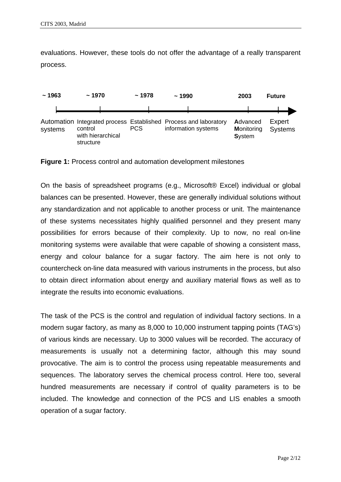evaluations. However, these tools do not offer the advantage of a really transparent process.



**Figure 1:** Process control and automation development milestones

On the basis of spreadsheet programs (e.g., Microsoft® Excel) individual or global balances can be presented. However, these are generally individual solutions without any standardization and not applicable to another process or unit. The maintenance of these systems necessitates highly qualified personnel and they present many possibilities for errors because of their complexity. Up to now, no real on-line monitoring systems were available that were capable of showing a consistent mass, energy and colour balance for a sugar factory. The aim here is not only to countercheck on-line data measured with various instruments in the process, but also to obtain direct information about energy and auxiliary material flows as well as to integrate the results into economic evaluations.

The task of the PCS is the control and regulation of individual factory sections. In a modern sugar factory, as many as 8,000 to 10,000 instrument tapping points (TAG's) of various kinds are necessary. Up to 3000 values will be recorded. The accuracy of measurements is usually not a determining factor, although this may sound provocative. The aim is to control the process using repeatable measurements and sequences. The laboratory serves the chemical process control. Here too, several hundred measurements are necessary if control of quality parameters is to be included. The knowledge and connection of the PCS and LIS enables a smooth operation of a sugar factory.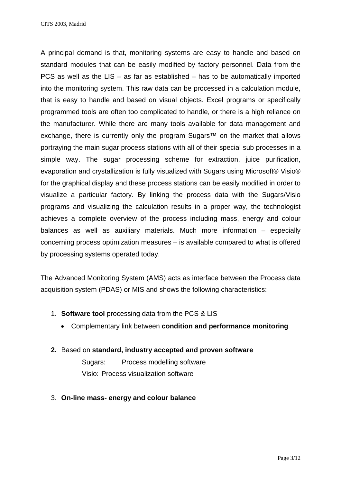A principal demand is that, monitoring systems are easy to handle and based on standard modules that can be easily modified by factory personnel. Data from the PCS as well as the  $LIS - as$  far as established  $-$  has to be automatically imported into the monitoring system. This raw data can be processed in a calculation module, that is easy to handle and based on visual objects. Excel programs or specifically programmed tools are often too complicated to handle, or there is a high reliance on the manufacturer. While there are many tools available for data management and exchange, there is currently only the program Sugars<sup>™</sup> on the market that allows portraying the main sugar process stations with all of their special sub processes in a simple way. The sugar processing scheme for extraction, juice purification, evaporation and crystallization is fully visualized with Sugars using Microsoft® Visio® for the graphical display and these process stations can be easily modified in order to visualize a particular factory. By linking the process data with the Sugars/Visio programs and visualizing the calculation results in a proper way, the technologist achieves a complete overview of the process including mass, energy and colour balances as well as auxiliary materials. Much more information – especially concerning process optimization measures – is available compared to what is offered by processing systems operated today.

The Advanced Monitoring System (AMS) acts as interface between the Process data acquisition system (PDAS) or MIS and shows the following characteristics:

- 1. **Software tool** processing data from the PCS & LIS
	- Complementary link between **condition and performance monitoring**
- **2.** Based on **standard, industry accepted and proven software**

 Sugars: Process modelling software Visio: Process visualization software

3. **On-line mass- energy and colour balance**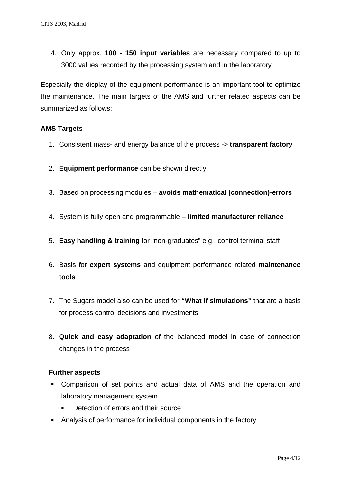4. Only approx. **100 - 150 input variables** are necessary compared to up to 3000 values recorded by the processing system and in the laboratory

Especially the display of the equipment performance is an important tool to optimize the maintenance. The main targets of the AMS and further related aspects can be summarized as follows:

## **AMS Targets**

- 1. Consistent mass- and energy balance of the process -> **transparent factory**
- 2. **Equipment performance** can be shown directly
- 3. Based on processing modules **avoids mathematical (connection)-errors**
- 4. System is fully open and programmable – **limited manufacturer reliance**
- 5. **Easy handling & training** for "non-graduates" e.g., control terminal staff
- 6. Basis for **expert systems** and equipment performance related **maintenance tools**
- 7. The Sugars model also can be used for **"What if simulations"** that are a basis for process control decisions and investments
- 8. **Quick and easy adaptation** of the balanced model in case of connection changes in the process

#### **Further aspects**

- Comparison of set points and actual data of AMS and the operation and laboratory management system
	- Detection of errors and their source
- Analysis of performance for individual components in the factory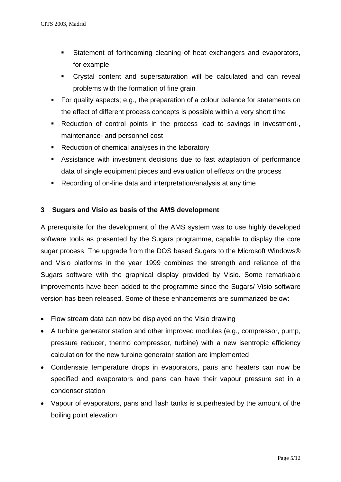- **Statement of forthcoming cleaning of heat exchangers and evaporators,** for example
- Crystal content and supersaturation will be calculated and can reveal problems with the formation of fine grain
- For quality aspects; e.g., the preparation of a colour balance for statements on the effect of different process concepts is possible within a very short time
- Reduction of control points in the process lead to savings in investment-, maintenance- and personnel cost
- Reduction of chemical analyses in the laboratory
- Assistance with investment decisions due to fast adaptation of performance data of single equipment pieces and evaluation of effects on the process
- Recording of on-line data and interpretation/analysis at any time

# **3 Sugars and Visio as basis of the AMS development**

A prerequisite for the development of the AMS system was to use highly developed software tools as presented by the Sugars programme, capable to display the core sugar process. The upgrade from the DOS based Sugars to the Microsoft Windows® and Visio platforms in the year 1999 combines the strength and reliance of the Sugars software with the graphical display provided by Visio. Some remarkable improvements have been added to the programme since the Sugars/ Visio software version has been released. Some of these enhancements are summarized below:

- Flow stream data can now be displayed on the Visio drawing
- A turbine generator station and other improved modules (e.g., compressor, pump, pressure reducer, thermo compressor, turbine) with a new isentropic efficiency calculation for the new turbine generator station are implemented
- Condensate temperature drops in evaporators, pans and heaters can now be specified and evaporators and pans can have their vapour pressure set in a condenser station
- Vapour of evaporators, pans and flash tanks is superheated by the amount of the boiling point elevation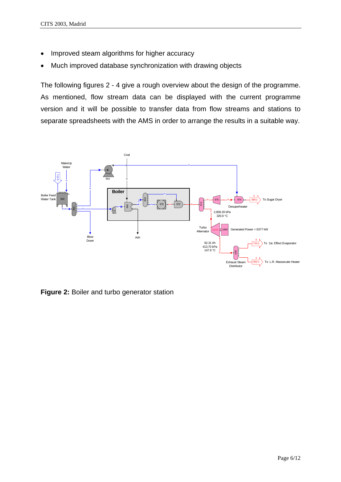- Improved steam algorithms for higher accuracy
- Much improved database synchronization with drawing objects

The following figures 2 - 4 give a rough overview about the design of the programme. As mentioned, flow stream data can be displayed with the current programme version and it will be possible to transfer data from flow streams and stations to separate spreadsheets with the AMS in order to arrange the results in a suitable way.



**Figure 2:** Boiler and turbo generator station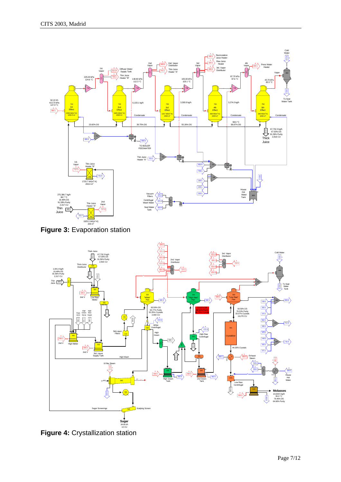



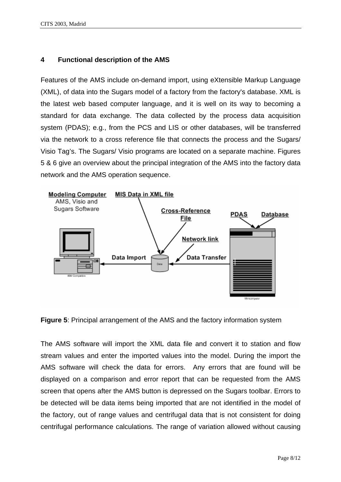# **4 Functional description of the AMS**

Features of the AMS include on-demand import, using eXtensible Markup Language (XML), of data into the Sugars model of a factory from the factory's database. XML is the latest web based computer language, and it is well on its way to becoming a standard for data exchange. The data collected by the process data acquisition system (PDAS); e.g., from the PCS and LIS or other databases, will be transferred via the network to a cross reference file that connects the process and the Sugars/ Visio Tag's. The Sugars/ Visio programs are located on a separate machine. Figures 5 & 6 give an overview about the principal integration of the AMS into the factory data network and the AMS operation sequence.



**Figure 5**: Principal arrangement of the AMS and the factory information system

The AMS software will import the XML data file and convert it to station and flow stream values and enter the imported values into the model. During the import the AMS software will check the data for errors. Any errors that are found will be displayed on a comparison and error report that can be requested from the AMS screen that opens after the AMS button is depressed on the Sugars toolbar. Errors to be detected will be data items being imported that are not identified in the model of the factory, out of range values and centrifugal data that is not consistent for doing centrifugal performance calculations. The range of variation allowed without causing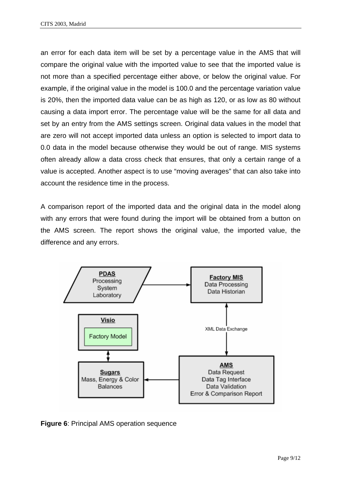an error for each data item will be set by a percentage value in the AMS that will compare the original value with the imported value to see that the imported value is not more than a specified percentage either above, or below the original value. For example, if the original value in the model is 100.0 and the percentage variation value is 20%, then the imported data value can be as high as 120, or as low as 80 without causing a data import error. The percentage value will be the same for all data and set by an entry from the AMS settings screen. Original data values in the model that are zero will not accept imported data unless an option is selected to import data to 0.0 data in the model because otherwise they would be out of range. MIS systems often already allow a data cross check that ensures, that only a certain range of a value is accepted. Another aspect is to use "moving averages" that can also take into account the residence time in the process.

A comparison report of the imported data and the original data in the model along with any errors that were found during the import will be obtained from a button on the AMS screen. The report shows the original value, the imported value, the difference and any errors.



**Figure 6**: Principal AMS operation sequence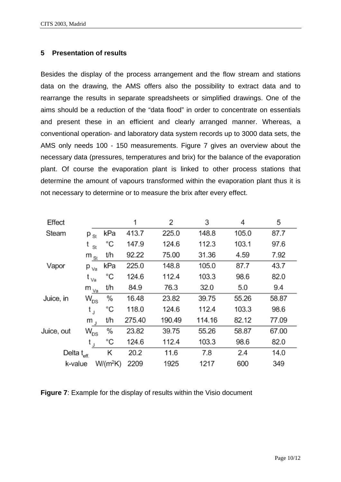#### **5 Presentation of results**

Besides the display of the process arrangement and the flow stream and stations data on the drawing, the AMS offers also the possibility to extract data and to rearrange the results in separate spreadsheets or simplified drawings. One of the aims should be a reduction of the "data flood" in order to concentrate on essentials and present these in an efficient and clearly arranged manner. Whereas, a conventional operation- and laboratory data system records up to 3000 data sets, the AMS only needs 100 - 150 measurements. Figure 7 gives an overview about the necessary data (pressures, temperatures and brix) for the balance of the evaporation plant. Of course the evaporation plant is linked to other process stations that determine the amount of vapours transformed within the evaporation plant thus it is not necessary to determine or to measure the brix after every effect.

| Effect                  |                            |            | 1      | 2      | 3      | 4     | 5     |
|-------------------------|----------------------------|------------|--------|--------|--------|-------|-------|
| Steam                   | $P_{\text{St}}$            | kPa        | 413.7  | 225.0  | 148.8  | 105.0 | 87.7  |
|                         | t<br>St                    | °С         | 147.9  | 124.6  | 112.3  | 103.1 | 97.6  |
| Vapor                   | $m_{\rm St}$               | t/h        | 92.22  | 75.00  | 31.36  | 4.59  | 7.92  |
|                         | $p_{\vee a}$               | kPa        | 225.0  | 148.8  | 105.0  | 87.7  | 43.7  |
|                         | t <sub>Va</sub>            | °C         | 124.6  | 112.4  | 103.3  | 98.6  | 82.0  |
|                         | $m_{v_{\underline{a}}}$    | t/h        | 84.9   | 76.3   | 32.0   | 5.0   | 9.4   |
| Juice, in               | $W^{}_{\rm DS}$            | %          | 16.48  | 23.82  | 39.75  | 55.26 | 58.87 |
|                         | t,                         | °C         | 118.0  | 124.6  | 112.4  | 103.3 | 98.6  |
|                         | m,                         | t/h        | 275.40 | 190.49 | 114.16 | 82.12 | 77.09 |
| Juice, out              | $\textsf{W}_{\texttt{DS}}$ | %          | 23.82  | 39.75  | 55.26  | 58.87 | 67.00 |
|                         | $t_{\text{J}}$             | °C         | 124.6  | 112.4  | 103.3  | 98.6  | 82.0  |
| Delta $t_{\text{eff.}}$ |                            | Κ          | 20.2   | 11.6   | 7.8    | 2.4   | 14.0  |
| k-value                 |                            | $W/(m^2K)$ | 2209   | 1925   | 1217   | 600   | 349   |

**Figure 7**: Example for the display of results within the Visio document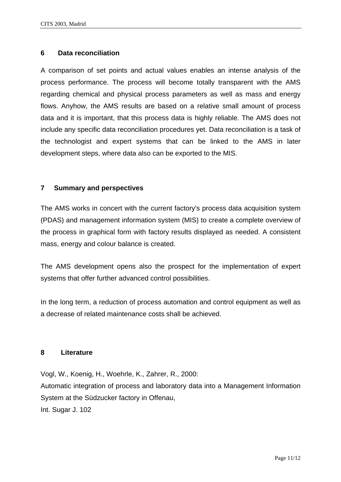## **6 Data reconciliation**

A comparison of set points and actual values enables an intense analysis of the process performance. The process will become totally transparent with the AMS regarding chemical and physical process parameters as well as mass and energy flows. Anyhow, the AMS results are based on a relative small amount of process data and it is important, that this process data is highly reliable. The AMS does not include any specific data reconciliation procedures yet. Data reconciliation is a task of the technologist and expert systems that can be linked to the AMS in later development steps, where data also can be exported to the MIS.

## **7 Summary and perspectives**

The AMS works in concert with the current factory's process data acquisition system (PDAS) and management information system (MIS) to create a complete overview of the process in graphical form with factory results displayed as needed. A consistent mass, energy and colour balance is created.

The AMS development opens also the prospect for the implementation of expert systems that offer further advanced control possibilities.

In the long term, a reduction of process automation and control equipment as well as a decrease of related maintenance costs shall be achieved.

#### **8 Literature**

Vogl, W., Koenig, H., Woehrle, K., Zahrer, R., 2000: Automatic integration of process and laboratory data into a Management Information System at the Südzucker factory in Offenau, Int. Sugar J. 102